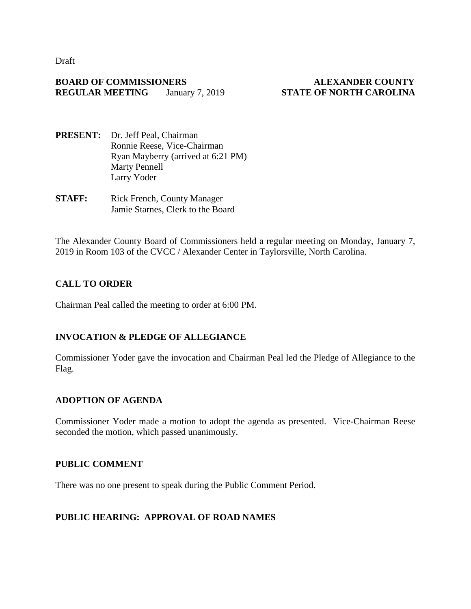Draft

#### **BOARD OF COMMISSIONERS ALEXANDER COUNTY REGULAR MEETING** January 7, 2019 **STATE OF NORTH CAROLINA**

- **PRESENT:** Dr. Jeff Peal, Chairman Ronnie Reese, Vice-Chairman Ryan Mayberry (arrived at 6:21 PM) Marty Pennell Larry Yoder
- **STAFF:** Rick French, County Manager Jamie Starnes, Clerk to the Board

The Alexander County Board of Commissioners held a regular meeting on Monday, January 7, 2019 in Room 103 of the CVCC / Alexander Center in Taylorsville, North Carolina.

## **CALL TO ORDER**

Chairman Peal called the meeting to order at 6:00 PM.

## **INVOCATION & PLEDGE OF ALLEGIANCE**

Commissioner Yoder gave the invocation and Chairman Peal led the Pledge of Allegiance to the Flag.

## **ADOPTION OF AGENDA**

Commissioner Yoder made a motion to adopt the agenda as presented. Vice-Chairman Reese seconded the motion, which passed unanimously.

#### **PUBLIC COMMENT**

There was no one present to speak during the Public Comment Period.

## **PUBLIC HEARING: APPROVAL OF ROAD NAMES**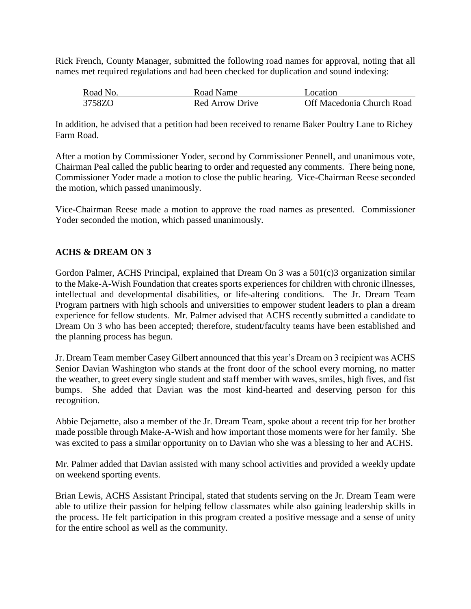Rick French, County Manager, submitted the following road names for approval, noting that all names met required regulations and had been checked for duplication and sound indexing:

| Road No. | Road Name       | Location                  |
|----------|-----------------|---------------------------|
| 3758ZO   | Red Arrow Drive | Off Macedonia Church Road |

In addition, he advised that a petition had been received to rename Baker Poultry Lane to Richey Farm Road.

After a motion by Commissioner Yoder, second by Commissioner Pennell, and unanimous vote, Chairman Peal called the public hearing to order and requested any comments. There being none, Commissioner Yoder made a motion to close the public hearing. Vice-Chairman Reese seconded the motion, which passed unanimously.

Vice-Chairman Reese made a motion to approve the road names as presented. Commissioner Yoder seconded the motion, which passed unanimously.

## **ACHS & DREAM ON 3**

Gordon Palmer, ACHS Principal, explained that Dream On 3 was a 501(c)3 organization similar to the Make-A-Wish Foundation that creates sports experiences for children with chronic illnesses, intellectual and developmental disabilities, or life-altering conditions. The Jr. Dream Team Program partners with high schools and universities to empower student leaders to plan a dream experience for fellow students. Mr. Palmer advised that ACHS recently submitted a candidate to Dream On 3 who has been accepted; therefore, student/faculty teams have been established and the planning process has begun.

Jr. Dream Team member Casey Gilbert announced that this year's Dream on 3 recipient was ACHS Senior Davian Washington who stands at the front door of the school every morning, no matter the weather, to greet every single student and staff member with waves, smiles, high fives, and fist bumps. She added that Davian was the most kind-hearted and deserving person for this recognition.

Abbie Dejarnette, also a member of the Jr. Dream Team, spoke about a recent trip for her brother made possible through Make-A-Wish and how important those moments were for her family. She was excited to pass a similar opportunity on to Davian who she was a blessing to her and ACHS.

Mr. Palmer added that Davian assisted with many school activities and provided a weekly update on weekend sporting events.

Brian Lewis, ACHS Assistant Principal, stated that students serving on the Jr. Dream Team were able to utilize their passion for helping fellow classmates while also gaining leadership skills in the process. He felt participation in this program created a positive message and a sense of unity for the entire school as well as the community.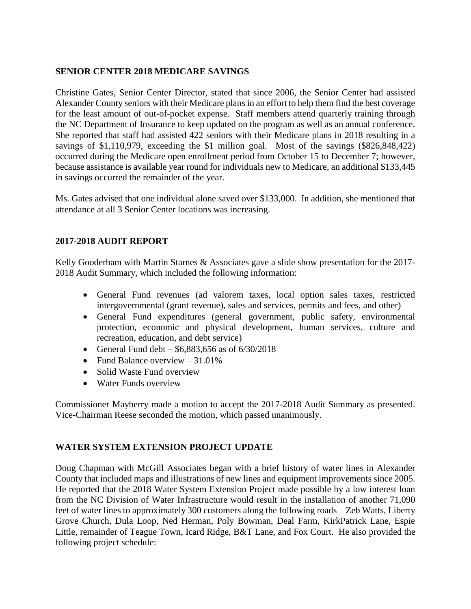## **SENIOR CENTER 2018 MEDICARE SAVINGS**

Christine Gates, Senior Center Director, stated that since 2006, the Senior Center had assisted Alexander County seniors with their Medicare plans in an effort to help them find the best coverage for the least amount of out-of-pocket expense. Staff members attend quarterly training through the NC Department of Insurance to keep updated on the program as well as an annual conference. She reported that staff had assisted 422 seniors with their Medicare plans in 2018 resulting in a savings of \$1,110,979, exceeding the \$1 million goal. Most of the savings (\$826,848,422) occurred during the Medicare open enrollment period from October 15 to December 7; however, because assistance is available year round for individuals new to Medicare, an additional \$133,445 in savings occurred the remainder of the year.

Ms. Gates advised that one individual alone saved over \$133,000. In addition, she mentioned that attendance at all 3 Senior Center locations was increasing.

## **2017-2018 AUDIT REPORT**

Kelly Gooderham with Martin Starnes & Associates gave a slide show presentation for the 2017-2018 Audit Summary, which included the following information:

- General Fund revenues (ad valorem taxes, local option sales taxes, restricted intergovernmental (grant revenue), sales and services, permits and fees, and other)
- General Fund expenditures (general government, public safety, environmental protection, economic and physical development, human services, culture and recreation, education, and debt service)
- General Fund debt  $$6,883,656$  as of  $6/30/2018$
- Fund Balance overview  $-31.01\%$
- Solid Waste Fund overview
- Water Funds overview

Commissioner Mayberry made a motion to accept the 2017-2018 Audit Summary as presented. Vice-Chairman Reese seconded the motion, which passed unanimously.

## **WATER SYSTEM EXTENSION PROJECT UPDATE**

Doug Chapman with McGill Associates began with a brief history of water lines in Alexander County that included maps and illustrations of new lines and equipment improvements since 2005. He reported that the 2018 Water System Extension Project made possible by a low interest loan from the NC Division of Water Infrastructure would result in the installation of another 71,090 feet of water lines to approximately 300 customers along the following roads – Zeb Watts, Liberty Grove Church, Dula Loop, Ned Herman, Poly Bowman, Deal Farm, KirkPatrick Lane, Espie Little, remainder of Teague Town, Icard Ridge, B&T Lane, and Fox Court. He also provided the following project schedule: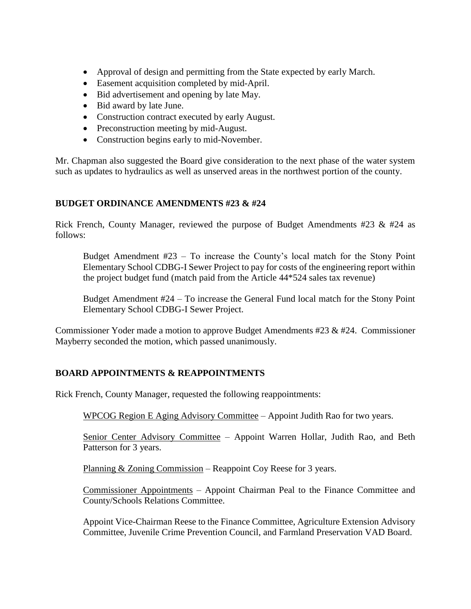- Approval of design and permitting from the State expected by early March.
- Easement acquisition completed by mid-April.
- Bid advertisement and opening by late May.
- Bid award by late June.
- Construction contract executed by early August.
- Preconstruction meeting by mid-August.
- Construction begins early to mid-November.

Mr. Chapman also suggested the Board give consideration to the next phase of the water system such as updates to hydraulics as well as unserved areas in the northwest portion of the county.

#### **BUDGET ORDINANCE AMENDMENTS #23 & #24**

Rick French, County Manager, reviewed the purpose of Budget Amendments  $#23 \& #24$  as follows:

Budget Amendment #23 – To increase the County's local match for the Stony Point Elementary School CDBG-I Sewer Project to pay for costs of the engineering report within the project budget fund (match paid from the Article 44\*524 sales tax revenue)

Budget Amendment #24 – To increase the General Fund local match for the Stony Point Elementary School CDBG-I Sewer Project.

Commissioner Yoder made a motion to approve Budget Amendments #23 & #24. Commissioner Mayberry seconded the motion, which passed unanimously.

#### **BOARD APPOINTMENTS & REAPPOINTMENTS**

Rick French, County Manager, requested the following reappointments:

WPCOG Region E Aging Advisory Committee – Appoint Judith Rao for two years.

Senior Center Advisory Committee - Appoint Warren Hollar, Judith Rao, and Beth Patterson for 3 years.

Planning & Zoning Commission – Reappoint Coy Reese for 3 years.

Commissioner Appointments – Appoint Chairman Peal to the Finance Committee and County/Schools Relations Committee.

Appoint Vice-Chairman Reese to the Finance Committee, Agriculture Extension Advisory Committee, Juvenile Crime Prevention Council, and Farmland Preservation VAD Board.